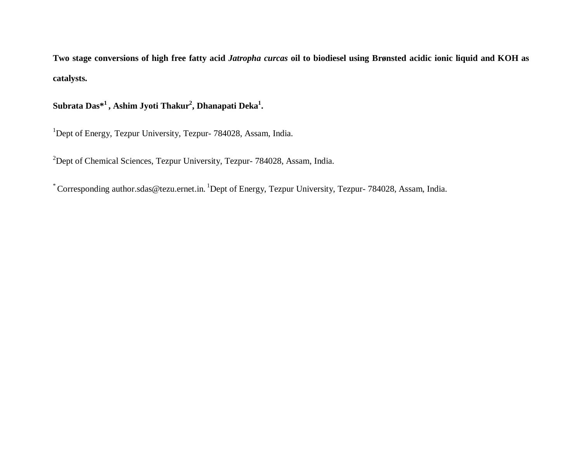**Two stage conversions of high free fatty acid** *Jatropha curcas* **oil to biodiesel using Brønsted acidic ionic liquid and KOH as catalysts.** 

## **Subrata Das\* 1 , Ashim Jyoti Thakur<sup>2</sup> , Dhanapati Deka<sup>1</sup> .**

<sup>1</sup>Dept of Energy, Tezpur University, Tezpur- 784028, Assam, India.

<sup>2</sup>Dept of Chemical Sciences, Tezpur University, Tezpur- 784028, Assam, India.

\* Corresponding author.sdas@tezu.ernet.in. <sup>1</sup>Dept of Energy, Tezpur University, Tezpur- 784028, Assam, India.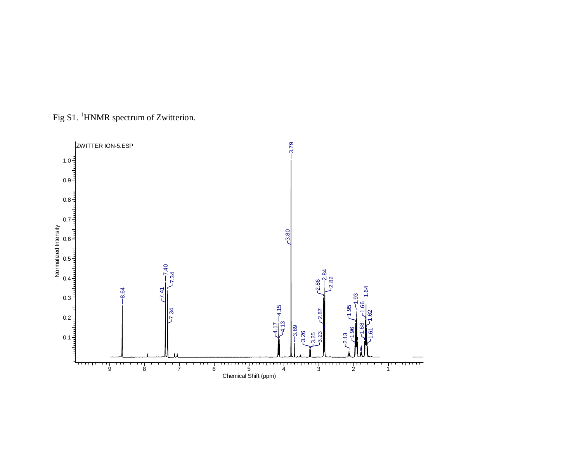

Fig S1. <sup>1</sup>HNMR spectrum of Zwitterion.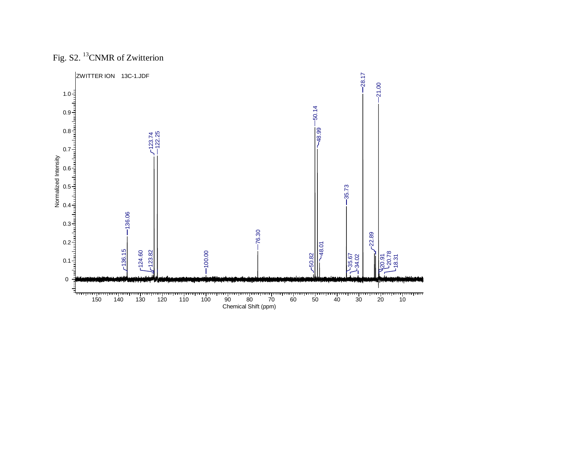

Fig. S2. <sup>13</sup>CNMR of Zwitterion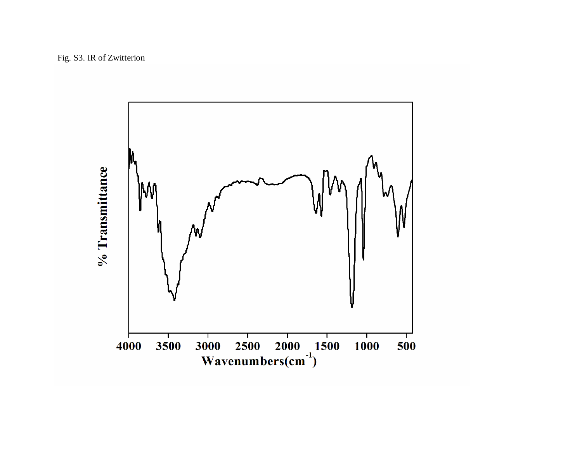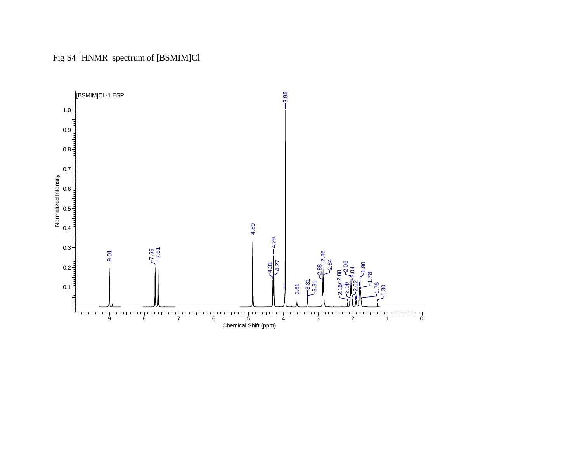Fig S4 <sup>1</sup>HNMR spectrum of [BSMIM]Cl

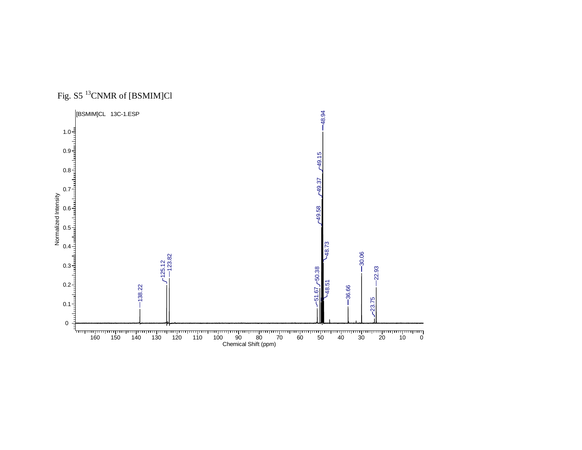

Fig. S5 <sup>13</sup>CNMR of [BSMIM]Cl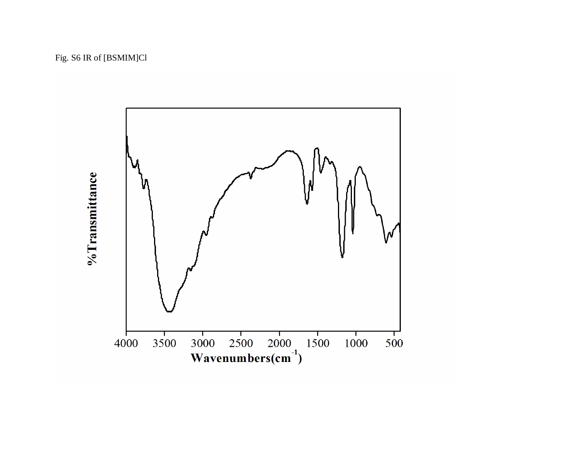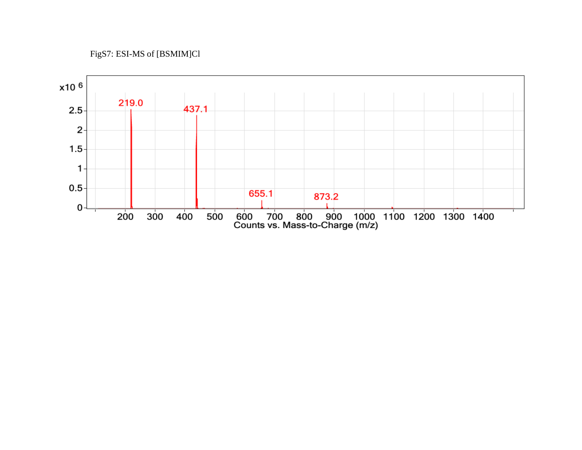## FigS7: ESI-MS of [BSMIM]Cl